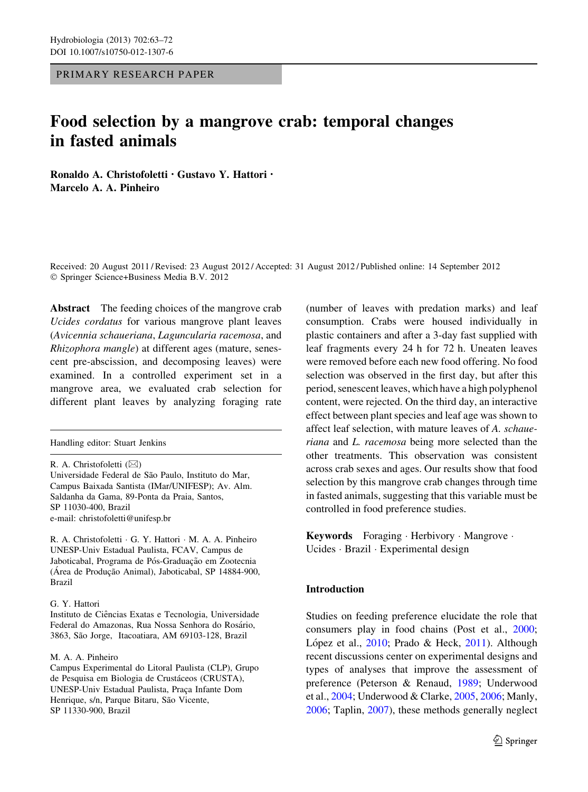PRIMARY RESEARCH PAPER

# Food selection by a mangrove crab: temporal changes in fasted animals

Ronaldo A. Christofoletti • Gustavo Y. Hattori • Marcelo A. A. Pinheiro

Received: 20 August 2011 / Revised: 23 August 2012 / Accepted: 31 August 2012 / Published online: 14 September 2012 © Springer Science+Business Media B.V. 2012

Abstract The feeding choices of the mangrove crab Ucides cordatus for various mangrove plant leaves (Avicennia schaueriana, Laguncularia racemosa, and Rhizophora mangle) at different ages (mature, senescent pre-abscission, and decomposing leaves) were examined. In a controlled experiment set in a mangrove area, we evaluated crab selection for different plant leaves by analyzing foraging rate

Handling editor: Stuart Jenkins

R. A. Christofoletti  $(\boxtimes)$ Universidade Federal de São Paulo, Instituto do Mar, Campus Baixada Santista (IMar/UNIFESP); Av. Alm. Saldanha da Gama, 89-Ponta da Praia, Santos, SP 11030-400, Brazil e-mail: christofoletti@unifesp.br

R. A. Christofoletti - G. Y. Hattori - M. A. A. Pinheiro UNESP-Univ Estadual Paulista, FCAV, Campus de Jaboticabal, Programa de Pós-Graduação em Zootecnia (Área de Produção Animal), Jaboticabal, SP 14884-900, Brazil

#### G. Y. Hattori

Instituto de Ciências Exatas e Tecnologia, Universidade Federal do Amazonas, Rua Nossa Senhora do Rosário, 3863, São Jorge, Itacoatiara, AM 69103-128, Brazil

## M. A. A. Pinheiro

Campus Experimental do Litoral Paulista (CLP), Grupo de Pesquisa em Biologia de Crustáceos (CRUSTA), UNESP-Univ Estadual Paulista, Praca Infante Dom Henrique, s/n, Parque Bitaru, São Vicente, SP 11330-900, Brazil

(number of leaves with predation marks) and leaf consumption. Crabs were housed individually in plastic containers and after a 3-day fast supplied with leaf fragments every 24 h for 72 h. Uneaten leaves were removed before each new food offering. No food selection was observed in the first day, but after this period, senescent leaves, which have a high polyphenol content, were rejected. On the third day, an interactive effect between plant species and leaf age was shown to affect leaf selection, with mature leaves of A. schaueriana and L. racemosa being more selected than the other treatments. This observation was consistent across crab sexes and ages. Our results show that food selection by this mangrove crab changes through time in fasted animals, suggesting that this variable must be controlled in food preference studies.

Keywords Foraging · Herbivory · Mangrove · Ucides - Brazil - Experimental design

## Introduction

Studies on feeding preference elucidate the role that consumers play in food chains (Post et al., [2000](#page-9-0); López et al., [2010;](#page-8-0) Prado & Heck, [2011](#page-9-0)). Although recent discussions center on experimental designs and types of analyses that improve the assessment of preference (Peterson & Renaud, [1989](#page-8-0); Underwood et al., [2004](#page-9-0); Underwood & Clarke, [2005,](#page-9-0) [2006](#page-9-0); Manly, [2006;](#page-8-0) Taplin, [2007](#page-9-0)), these methods generally neglect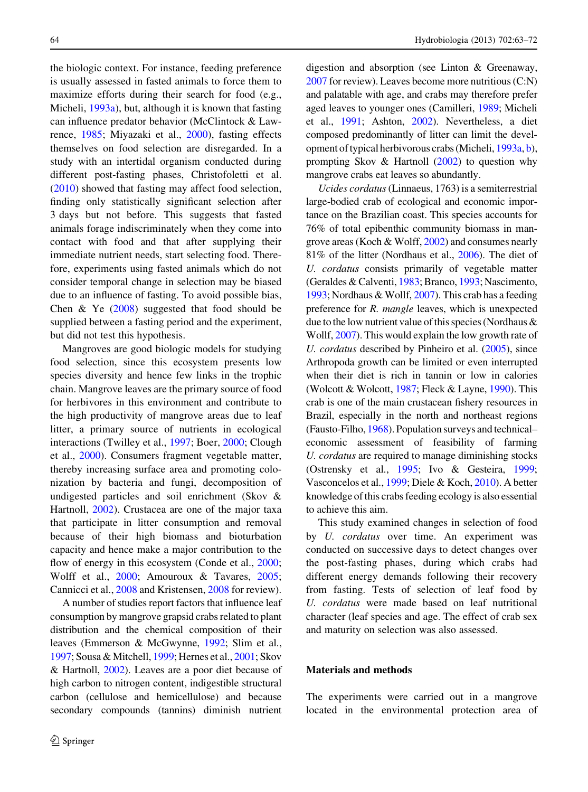the biologic context. For instance, feeding preference is usually assessed in fasted animals to force them to maximize efforts during their search for food (e.g., Micheli, [1993a](#page-8-0)), but, although it is known that fasting can influence predator behavior (McClintock & Lawrence, [1985](#page-8-0); Miyazaki et al., [2000](#page-8-0)), fasting effects themselves on food selection are disregarded. In a study with an intertidal organism conducted during different post-fasting phases, Christofoletti et al. [\(2010](#page-7-0)) showed that fasting may affect food selection, finding only statistically significant selection after 3 days but not before. This suggests that fasted animals forage indiscriminately when they come into contact with food and that after supplying their immediate nutrient needs, start selecting food. Therefore, experiments using fasted animals which do not consider temporal change in selection may be biased due to an influence of fasting. To avoid possible bias, Chen & Ye [\(2008](#page-7-0)) suggested that food should be supplied between a fasting period and the experiment, but did not test this hypothesis.

Mangroves are good biologic models for studying food selection, since this ecosystem presents low species diversity and hence few links in the trophic chain. Mangrove leaves are the primary source of food for herbivores in this environment and contribute to the high productivity of mangrove areas due to leaf litter, a primary source of nutrients in ecological interactions (Twilley et al., [1997;](#page-9-0) Boer, [2000](#page-7-0); Clough et al., [2000\)](#page-7-0). Consumers fragment vegetable matter, thereby increasing surface area and promoting colonization by bacteria and fungi, decomposition of undigested particles and soil enrichment (Skov & Hartnoll, [2002\)](#page-9-0). Crustacea are one of the major taxa that participate in litter consumption and removal because of their high biomass and bioturbation capacity and hence make a major contribution to the flow of energy in this ecosystem (Conde et al., [2000](#page-7-0); Wolff et al., [2000;](#page-9-0) Amouroux & Tavares, [2005](#page-7-0); Cannicci et al., [2008](#page-7-0) and Kristensen, [2008](#page-8-0) for review).

A number of studies report factors that influence leaf consumption by mangrove grapsid crabs related to plant distribution and the chemical composition of their leaves (Emmerson & McGwynne, [1992;](#page-8-0) Slim et al., [1997](#page-9-0); Sousa & Mitchell, [1999;](#page-9-0) Hernes et al., [2001;](#page-8-0) Skov & Hartnoll, [2002](#page-9-0)). Leaves are a poor diet because of high carbon to nitrogen content, indigestible structural carbon (cellulose and hemicellulose) and because secondary compounds (tannins) diminish nutrient

digestion and absorption (see Linton & Greenaway, [2007](#page-8-0) for review). Leaves become more nutritious (C:N) and palatable with age, and crabs may therefore prefer aged leaves to younger ones (Camilleri, [1989](#page-7-0); Micheli et al., [1991;](#page-8-0) Ashton, [2002\)](#page-7-0). Nevertheless, a diet composed predominantly of litter can limit the development of typical herbivorous crabs (Micheli, [1993a,](#page-8-0) [b\)](#page-8-0), prompting Skov & Hartnoll ([2002](#page-9-0)) to question why mangrove crabs eat leaves so abundantly.

Ucides cordatus(Linnaeus, 1763) is a semiterrestrial large-bodied crab of ecological and economic importance on the Brazilian coast. This species accounts for 76% of total epibenthic community biomass in mangrove areas (Koch & Wolff, [2002](#page-8-0)) and consumes nearly 81% of the litter (Nordhaus et al., [2006\)](#page-8-0). The diet of U. cordatus consists primarily of vegetable matter (Geraldes & Calventi, [1983;](#page-8-0) Branco, [1993;](#page-7-0) Nascimento, [1993](#page-8-0); Nordhaus & Wollf, [2007\)](#page-8-0). This crab has a feeding preference for R. mangle leaves, which is unexpected due to the low nutrient value of this species (Nordhaus & Wollf, [2007\)](#page-8-0). This would explain the low growth rate of U. cordatus described by Pinheiro et al. ([2005](#page-9-0)), since Arthropoda growth can be limited or even interrupted when their diet is rich in tannin or low in calories (Wolcott & Wolcott, [1987;](#page-9-0) Fleck & Layne, [1990](#page-8-0)). This crab is one of the main crustacean fishery resources in Brazil, especially in the north and northeast regions (Fausto-Filho, [1968\)](#page-8-0). Population surveys and technical– economic assessment of feasibility of farming U. cordatus are required to manage diminishing stocks (Ostrensky et al., [1995](#page-8-0); Ivo & Gesteira, [1999](#page-8-0); Vasconcelos et al., [1999;](#page-9-0) Diele & Koch, [2010](#page-8-0)). A better knowledge of this crabs feeding ecology is also essential to achieve this aim.

This study examined changes in selection of food by U. cordatus over time. An experiment was conducted on successive days to detect changes over the post-fasting phases, during which crabs had different energy demands following their recovery from fasting. Tests of selection of leaf food by U. cordatus were made based on leaf nutritional character (leaf species and age. The effect of crab sex and maturity on selection was also assessed.

# Materials and methods

The experiments were carried out in a mangrove located in the environmental protection area of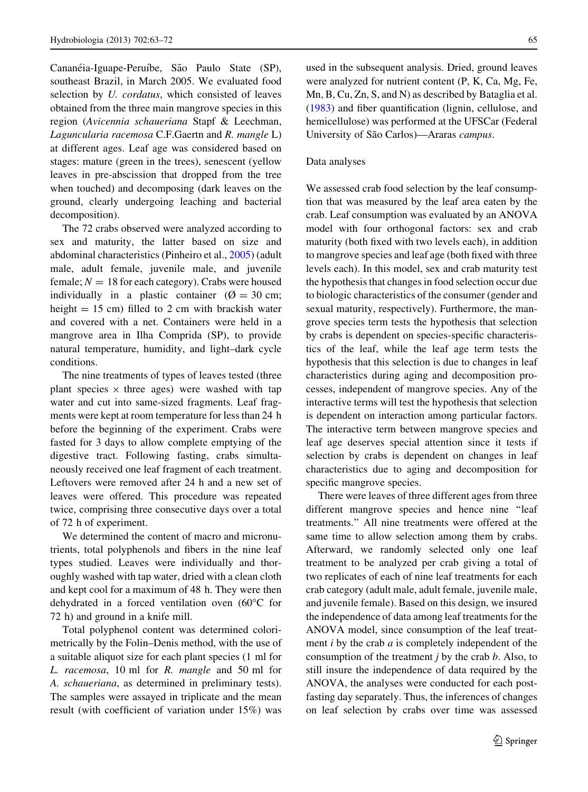Cananéia-Iguape-Peruíbe, São Paulo State (SP), southeast Brazil, in March 2005. We evaluated food selection by *U. cordatus*, which consisted of leaves obtained from the three main mangrove species in this region (Avicennia schaueriana Stapf & Leechman, Laguncularia racemosa C.F.Gaertn and R. mangle L) at different ages. Leaf age was considered based on stages: mature (green in the trees), senescent (yellow leaves in pre-abscission that dropped from the tree when touched) and decomposing (dark leaves on the ground, clearly undergoing leaching and bacterial decomposition).

The 72 crabs observed were analyzed according to sex and maturity, the latter based on size and abdominal characteristics (Pinheiro et al., [2005](#page-9-0)) (adult male, adult female, juvenile male, and juvenile female;  $N = 18$  for each category). Crabs were housed individually in a plastic container ( $\varnothing = 30$  cm; height  $= 15$  cm) filled to 2 cm with brackish water and covered with a net. Containers were held in a mangrove area in Ilha Comprida (SP), to provide natural temperature, humidity, and light–dark cycle conditions.

The nine treatments of types of leaves tested (three plant species  $\times$  three ages) were washed with tap water and cut into same-sized fragments. Leaf fragments were kept at room temperature for less than 24 h before the beginning of the experiment. Crabs were fasted for 3 days to allow complete emptying of the digestive tract. Following fasting, crabs simultaneously received one leaf fragment of each treatment. Leftovers were removed after 24 h and a new set of leaves were offered. This procedure was repeated twice, comprising three consecutive days over a total of 72 h of experiment.

We determined the content of macro and micronutrients, total polyphenols and fibers in the nine leaf types studied. Leaves were individually and thoroughly washed with tap water, dried with a clean cloth and kept cool for a maximum of 48 h. They were then dehydrated in a forced ventilation oven  $(60^{\circ}C)$  for 72 h) and ground in a knife mill.

Total polyphenol content was determined colorimetrically by the Folin–Denis method, with the use of a suitable aliquot size for each plant species (1 ml for L. racemosa, 10 ml for R. mangle and 50 ml for A. schaueriana, as determined in preliminary tests). The samples were assayed in triplicate and the mean result (with coefficient of variation under 15%) was used in the subsequent analysis. Dried, ground leaves were analyzed for nutrient content (P, K, Ca, Mg, Fe, Mn, B, Cu, Zn, S, and N) as described by Bataglia et al. [\(1983](#page-7-0)) and fiber quantification (lignin, cellulose, and hemicellulose) was performed at the UFSCar (Federal University of São Carlos)—Araras campus.

#### Data analyses

We assessed crab food selection by the leaf consumption that was measured by the leaf area eaten by the crab. Leaf consumption was evaluated by an ANOVA model with four orthogonal factors: sex and crab maturity (both fixed with two levels each), in addition to mangrove species and leaf age (both fixed with three levels each). In this model, sex and crab maturity test the hypothesis that changes in food selection occur due to biologic characteristics of the consumer (gender and sexual maturity, respectively). Furthermore, the mangrove species term tests the hypothesis that selection by crabs is dependent on species-specific characteristics of the leaf, while the leaf age term tests the hypothesis that this selection is due to changes in leaf characteristics during aging and decomposition processes, independent of mangrove species. Any of the interactive terms will test the hypothesis that selection is dependent on interaction among particular factors. The interactive term between mangrove species and leaf age deserves special attention since it tests if selection by crabs is dependent on changes in leaf characteristics due to aging and decomposition for specific mangrove species.

There were leaves of three different ages from three different mangrove species and hence nine ''leaf treatments.'' All nine treatments were offered at the same time to allow selection among them by crabs. Afterward, we randomly selected only one leaf treatment to be analyzed per crab giving a total of two replicates of each of nine leaf treatments for each crab category (adult male, adult female, juvenile male, and juvenile female). Based on this design, we insured the independence of data among leaf treatments for the ANOVA model, since consumption of the leaf treatment  $i$  by the crab  $a$  is completely independent of the consumption of the treatment  $j$  by the crab  $b$ . Also, to still insure the independence of data required by the ANOVA, the analyses were conducted for each postfasting day separately. Thus, the inferences of changes on leaf selection by crabs over time was assessed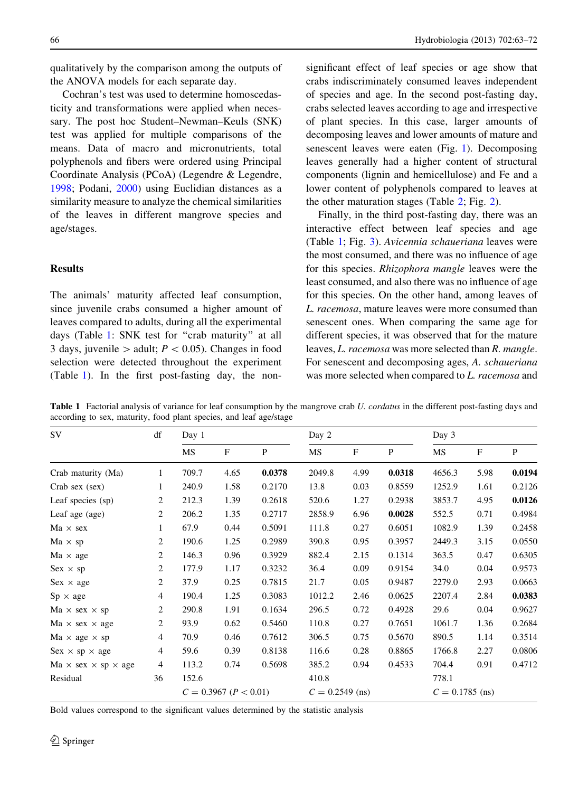qualitatively by the comparison among the outputs of the ANOVA models for each separate day.

Cochran's test was used to determine homoscedasticity and transformations were applied when necessary. The post hoc Student–Newman–Keuls (SNK) test was applied for multiple comparisons of the means. Data of macro and micronutrients, total polyphenols and fibers were ordered using Principal Coordinate Analysis (PCoA) (Legendre & Legendre, [1998;](#page-8-0) Podani, [2000](#page-9-0)) using Euclidian distances as a similarity measure to analyze the chemical similarities of the leaves in different mangrove species and age/stages.

### Results

The animals' maturity affected leaf consumption, since juvenile crabs consumed a higher amount of leaves compared to adults, during all the experimental days (Table 1: SNK test for "crab maturity" at all 3 days, juvenile  $>$  adult;  $P < 0.05$ ). Changes in food selection were detected throughout the experiment (Table 1). In the first post-fasting day, the nonsignificant effect of leaf species or age show that crabs indiscriminately consumed leaves independent of species and age. In the second post-fasting day, crabs selected leaves according to age and irrespective of plant species. In this case, larger amounts of decomposing leaves and lower amounts of mature and senescent leaves were eaten (Fig. [1](#page-4-0)). Decomposing leaves generally had a higher content of structural components (lignin and hemicellulose) and Fe and a lower content of polyphenols compared to leaves at the other maturation stages (Table [2](#page-4-0); Fig. [2\)](#page-5-0).

Finally, in the third post-fasting day, there was an interactive effect between leaf species and age (Table 1; Fig. [3](#page-6-0)). Avicennia schaueriana leaves were the most consumed, and there was no influence of age for this species. Rhizophora mangle leaves were the least consumed, and also there was no influence of age for this species. On the other hand, among leaves of L. racemosa, mature leaves were more consumed than senescent ones. When comparing the same age for different species, it was observed that for the mature leaves, L. racemosa was more selected than R. mangle. For senescent and decomposing ages, A. schaueriana was more selected when compared to L. racemosa and

**Table 1** Factorial analysis of variance for leaf consumption by the mangrove crab U. cordatus in the different post-fasting days and according to sex, maturity, food plant species, and leaf age/stage

| SV                                   | df | Day 1                   |      |        | Day 2  |                   |        | Day 3  |                   |        |
|--------------------------------------|----|-------------------------|------|--------|--------|-------------------|--------|--------|-------------------|--------|
|                                      |    | MS                      | F    | P      | MS     | $\mathbf F$       | P      | MS     | $_{\rm F}$        | P      |
| Crab maturity (Ma)                   | 1  | 709.7                   | 4.65 | 0.0378 | 2049.8 | 4.99              | 0.0318 | 4656.3 | 5.98              | 0.0194 |
| Crab sex $(sex)$                     | 1  | 240.9                   | 1.58 | 0.2170 | 13.8   | 0.03              | 0.8559 | 1252.9 | 1.61              | 0.2126 |
| Leaf species (sp)                    | 2  | 212.3                   | 1.39 | 0.2618 | 520.6  | 1.27              | 0.2938 | 3853.7 | 4.95              | 0.0126 |
| Leaf age (age)                       | 2  | 206.2                   | 1.35 | 0.2717 | 2858.9 | 6.96              | 0.0028 | 552.5  | 0.71              | 0.4984 |
| $Ma \times$ sex                      | 1  | 67.9                    | 0.44 | 0.5091 | 111.8  | 0.27              | 0.6051 | 1082.9 | 1.39              | 0.2458 |
| $Ma \times sp$                       | 2  | 190.6                   | 1.25 | 0.2989 | 390.8  | 0.95              | 0.3957 | 2449.3 | 3.15              | 0.0550 |
| $Ma \times age$                      | 2  | 146.3                   | 0.96 | 0.3929 | 882.4  | 2.15              | 0.1314 | 363.5  | 0.47              | 0.6305 |
| $Sex \times sp$                      | 2  | 177.9                   | 1.17 | 0.3232 | 36.4   | 0.09              | 0.9154 | 34.0   | 0.04              | 0.9573 |
| $Sex \times age$                     | 2  | 37.9                    | 0.25 | 0.7815 | 21.7   | 0.05              | 0.9487 | 2279.0 | 2.93              | 0.0663 |
| $Sp \times age$                      | 4  | 190.4                   | 1.25 | 0.3083 | 1012.2 | 2.46              | 0.0625 | 2207.4 | 2.84              | 0.0383 |
| $Ma \times sex \times sp$            | 2  | 290.8                   | 1.91 | 0.1634 | 296.5  | 0.72              | 0.4928 | 29.6   | 0.04              | 0.9627 |
| $Ma \times$ sex $\times$ age         | 2  | 93.9                    | 0.62 | 0.5460 | 110.8  | 0.27              | 0.7651 | 1061.7 | 1.36              | 0.2684 |
| $Ma \times age \times sp$            | 4  | 70.9                    | 0.46 | 0.7612 | 306.5  | 0.75              | 0.5670 | 890.5  | 1.14              | 0.3514 |
| $Sex \times sp \times age$           | 4  | 59.6                    | 0.39 | 0.8138 | 116.6  | 0.28              | 0.8865 | 1766.8 | 2.27              | 0.0806 |
| $Ma \times sex \times sp \times age$ | 4  | 113.2                   | 0.74 | 0.5698 | 385.2  | 0.94              | 0.4533 | 704.4  | 0.91              | 0.4712 |
| Residual                             | 36 | 152.6                   |      |        | 410.8  |                   |        | 778.1  |                   |        |
|                                      |    | $C = 0.3967 (P < 0.01)$ |      |        |        | $C = 0.2549$ (ns) |        |        | $C = 0.1785$ (ns) |        |

Bold values correspond to the significant values determined by the statistic analysis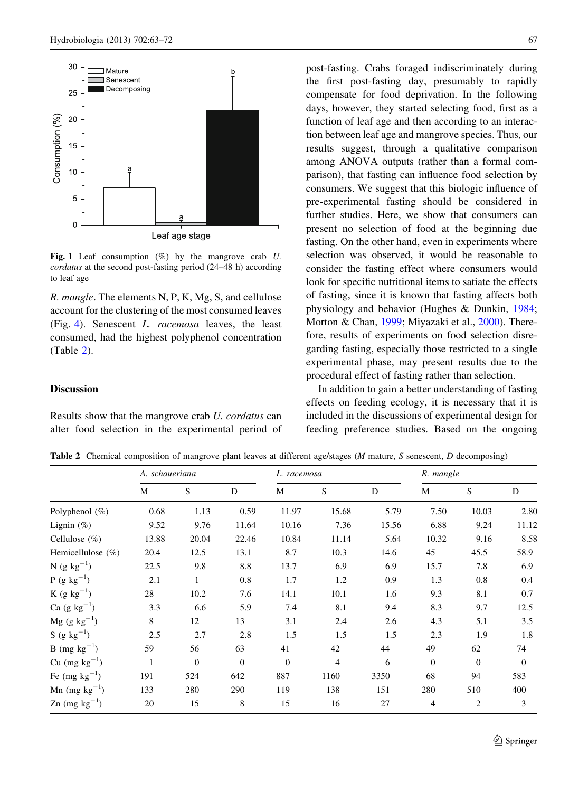<span id="page-4-0"></span>

Fig. 1 Leaf consumption  $(\%)$  by the mangrove crab U. cordatus at the second post-fasting period (24–48 h) according to leaf age

R. mangle. The elements N, P, K, Mg, S, and cellulose account for the clustering of the most consumed leaves (Fig. [4](#page-7-0)). Senescent L. racemosa leaves, the least consumed, had the highest polyphenol concentration (Table 2).

# Discussion

Zn (mg  $kg^{-1}$ )

Results show that the mangrove crab U. cordatus can alter food selection in the experimental period of post-fasting. Crabs foraged indiscriminately during the first post-fasting day, presumably to rapidly compensate for food deprivation. In the following days, however, they started selecting food, first as a function of leaf age and then according to an interaction between leaf age and mangrove species. Thus, our results suggest, through a qualitative comparison among ANOVA outputs (rather than a formal comparison), that fasting can influence food selection by consumers. We suggest that this biologic influence of pre-experimental fasting should be considered in further studies. Here, we show that consumers can present no selection of food at the beginning due fasting. On the other hand, even in experiments where selection was observed, it would be reasonable to consider the fasting effect where consumers would look for specific nutritional items to satiate the effects of fasting, since it is known that fasting affects both physiology and behavior (Hughes & Dunkin, [1984](#page-8-0); Morton & Chan, [1999](#page-8-0); Miyazaki et al., [2000](#page-8-0)). Therefore, results of experiments on food selection disregarding fasting, especially those restricted to a single experimental phase, may present results due to the procedural effect of fasting rather than selection.

In addition to gain a better understanding of fasting effects on feeding ecology, it is necessary that it is included in the discussions of experimental design for feeding preference studies. Based on the ongoing

A. schaueriana L. racemosa R. mangle M S D M S D M S D Polyphenol (%) 0.68 1.13 0.59 11.97 15.68 5.79 7.50 10.03 2.80 Lignin (%) 9.52 9.76 11.64 10.16 7.36 15.56 6.88 9.24 11.12 Cellulose (%) 13.88 20.04 22.46 10.84 11.14 5.64 10.32 9.16 8.58 Hemicellulose (%) 20.4 12.5 13.1 8.7 10.3 14.6 45 45.5 58.9  $N$  (g kg<sup>-1</sup>) ) 22.5 9.8 8.8 13.7 6.9 6.9 15.7 7.8 6.9  $P$  (g kg<sup>-1</sup>) ) 2.1 1 0.8 1.7 1.2 0.9 1.3 0.8 0.4  $K$  (g kg<sup>-1</sup>) ) 28 10.2 7.6 14.1 10.1 1.6 9.3 8.1 0.7  $Ca (g kg<sup>-1</sup>)$ ) 3.3 6.6 5.9 7.4 8.1 9.4 8.3 9.7 12.5  $Mg$  (g kg<sup>-1</sup>) ) 8 12 13 3.1 2.4 2.6 4.3 5.1 3.5 S (g kg<sup> $-1$ </sup>) ) 2.5 2.7 2.8 1.5 1.5 1.5 2.3 1.9 1.8 B (mg  $kg^{-1}$ ) ) 59 56 63 41 42 44 49 62 74 Cu  $(mg kg^{-1})$ ) 1000 4 6000 Fe (mg  $kg^{-1}$ ) ) 191 524 642 887 1160 3350 68 94 583 Mn (mg  $kg^{-1}$ ) ) 133 280 290 119 138 151 280 510 400

) 20 15 8 15 16 27 4 2 3

Table 2 Chemical composition of mangrove plant leaves at different age/stages (M mature, S senescent, D decomposing)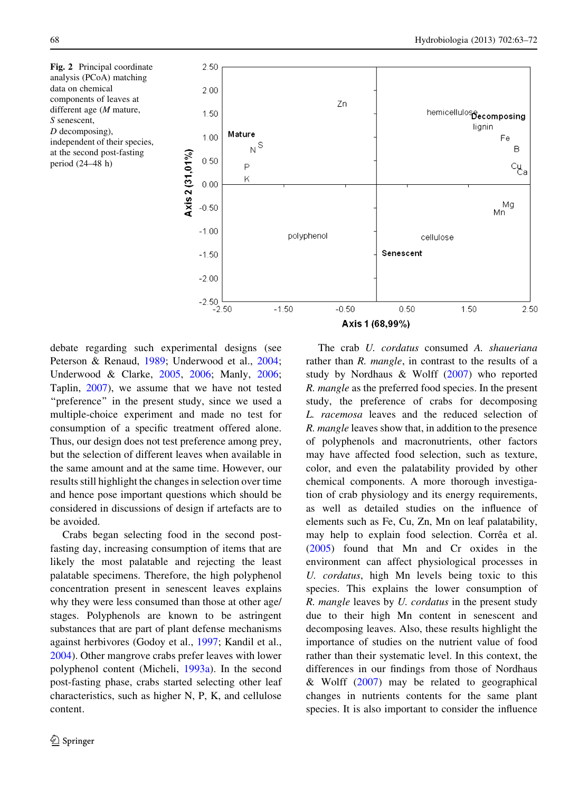<span id="page-5-0"></span>Fig. 2 Principal coordinate analysis (PCoA) matching data on chemical components of leaves at different age (M mature, S senescent, D decomposing), independent of their species, at the second post-fasting period (24–48 h)



debate regarding such experimental designs (see Peterson & Renaud, [1989;](#page-8-0) Underwood et al., [2004](#page-9-0); Underwood & Clarke, [2005](#page-9-0), [2006](#page-9-0); Manly, [2006](#page-8-0); Taplin, [2007](#page-9-0)), we assume that we have not tested ''preference'' in the present study, since we used a multiple-choice experiment and made no test for consumption of a specific treatment offered alone. Thus, our design does not test preference among prey, but the selection of different leaves when available in the same amount and at the same time. However, our results still highlight the changes in selection over time and hence pose important questions which should be considered in discussions of design if artefacts are to be avoided.

Crabs began selecting food in the second postfasting day, increasing consumption of items that are likely the most palatable and rejecting the least palatable specimens. Therefore, the high polyphenol concentration present in senescent leaves explains why they were less consumed than those at other age/ stages. Polyphenols are known to be astringent substances that are part of plant defense mechanisms against herbivores (Godoy et al., [1997](#page-8-0); Kandil et al., [2004\)](#page-8-0). Other mangrove crabs prefer leaves with lower polyphenol content (Micheli, [1993a](#page-8-0)). In the second post-fasting phase, crabs started selecting other leaf characteristics, such as higher N, P, K, and cellulose content.

The crab U. cordatus consumed A. shaueriana rather than R. mangle, in contrast to the results of a study by Nordhaus & Wolff [\(2007](#page-8-0)) who reported R. mangle as the preferred food species. In the present study, the preference of crabs for decomposing L. racemosa leaves and the reduced selection of R. mangle leaves show that, in addition to the presence of polyphenols and macronutrients, other factors may have affected food selection, such as texture, color, and even the palatability provided by other chemical components. A more thorough investigation of crab physiology and its energy requirements, as well as detailed studies on the influence of elements such as Fe, Cu, Zn, Mn on leaf palatability, may help to explain food selection. Corrêa et al. [\(2005](#page-7-0)) found that Mn and Cr oxides in the environment can affect physiological processes in U. cordatus, high Mn levels being toxic to this species. This explains the lower consumption of R. mangle leaves by U. cordatus in the present study due to their high Mn content in senescent and decomposing leaves. Also, these results highlight the importance of studies on the nutrient value of food rather than their systematic level. In this context, the differences in our findings from those of Nordhaus & Wolff  $(2007)$  $(2007)$  may be related to geographical changes in nutrients contents for the same plant species. It is also important to consider the influence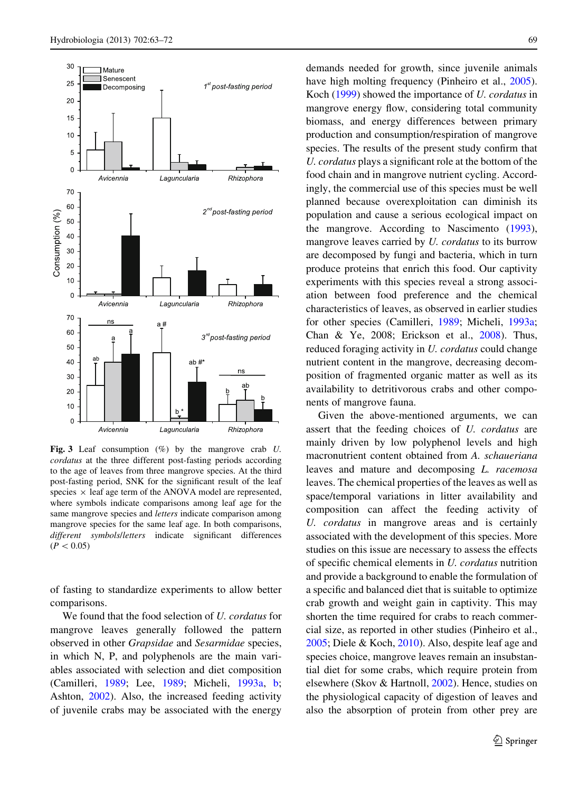<span id="page-6-0"></span>

Fig. 3 Leaf consumption  $(\%)$  by the mangrove crab U. cordatus at the three different post-fasting periods according to the age of leaves from three mangrove species. At the third post-fasting period, SNK for the significant result of the leaf species  $\times$  leaf age term of the ANOVA model are represented, where symbols indicate comparisons among leaf age for the same mangrove species and *letters* indicate comparison among mangrove species for the same leaf age. In both comparisons, different symbols/letters indicate significant differences  $(P < 0.05)$ 

of fasting to standardize experiments to allow better comparisons.

We found that the food selection of U. cordatus for mangrove leaves generally followed the pattern observed in other Grapsidae and Sesarmidae species, in which N, P, and polyphenols are the main variables associated with selection and diet composition (Camilleri, [1989](#page-7-0); Lee, [1989;](#page-8-0) Micheli, [1993a](#page-8-0), [b](#page-8-0); Ashton, [2002\)](#page-7-0). Also, the increased feeding activity of juvenile crabs may be associated with the energy demands needed for growth, since juvenile animals have high molting frequency (Pinheiro et al., [2005](#page-9-0)). Koch [\(1999](#page-8-0)) showed the importance of U. cordatus in mangrove energy flow, considering total community biomass, and energy differences between primary production and consumption/respiration of mangrove species. The results of the present study confirm that U. cordatus plays a significant role at the bottom of the food chain and in mangrove nutrient cycling. Accordingly, the commercial use of this species must be well planned because overexploitation can diminish its population and cause a serious ecological impact on the mangrove. According to Nascimento ([1993](#page-8-0)), mangrove leaves carried by U. cordatus to its burrow are decomposed by fungi and bacteria, which in turn produce proteins that enrich this food. Our captivity experiments with this species reveal a strong association between food preference and the chemical characteristics of leaves, as observed in earlier studies for other species (Camilleri, [1989;](#page-7-0) Micheli, [1993a](#page-8-0); Chan & Ye, 2008; Erickson et al., [2008](#page-8-0)). Thus, reduced foraging activity in U. cordatus could change nutrient content in the mangrove, decreasing decomposition of fragmented organic matter as well as its availability to detritivorous crabs and other components of mangrove fauna.

Given the above-mentioned arguments, we can assert that the feeding choices of U. cordatus are mainly driven by low polyphenol levels and high macronutrient content obtained from A. schaueriana leaves and mature and decomposing L. racemosa leaves. The chemical properties of the leaves as well as space/temporal variations in litter availability and composition can affect the feeding activity of U. cordatus in mangrove areas and is certainly associated with the development of this species. More studies on this issue are necessary to assess the effects of specific chemical elements in U. cordatus nutrition and provide a background to enable the formulation of a specific and balanced diet that is suitable to optimize crab growth and weight gain in captivity. This may shorten the time required for crabs to reach commercial size, as reported in other studies (Pinheiro et al., [2005;](#page-9-0) Diele & Koch, [2010](#page-8-0)). Also, despite leaf age and species choice, mangrove leaves remain an insubstantial diet for some crabs, which require protein from elsewhere (Skov & Hartnoll, [2002\)](#page-9-0). Hence, studies on the physiological capacity of digestion of leaves and also the absorption of protein from other prey are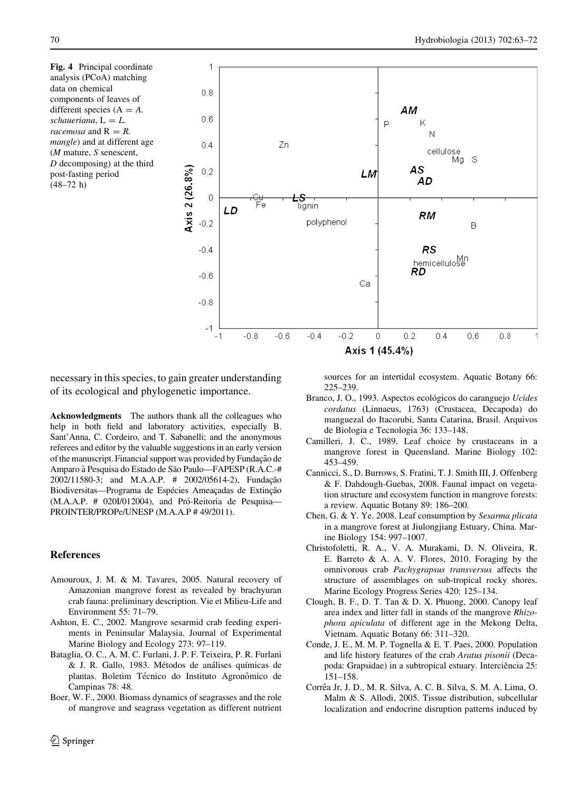<span id="page-7-0"></span>Fig. 4 Principal coordinate analysis (PCoA) matching data on chemical components of leaves of different species  $(A = A)$ . schaueriana,  $L = L$ . racemosa and  $R = R$ . mangle) and at different age (M mature, S senescent, D decomposing) at the third post-fasting period (48–72 h)



necessary in this species, to gain greater understanding of its ecological and phylogenetic importance.

Acknowledgments The authors thank all the colleagues who help in both field and laboratory activities, especially B. Sant'Anna, C. Cordeiro, and T. Sabanelli; and the anonymous referees and editor by the valuable suggestions in an early version of the manuscript. Financial support was provided by Fundação de Amparo à Pesquisa do Estado de São Paulo—FAPESP (R.A.C.-# 2002/11580-3; and M.A.A.P. # 2002/05614-2), Fundação Biodiversitas—Programa de Espécies Ameaçadas de Extinção (M.A.A.P. # 020I/012004), and Pró-Reitoria de Pesquisa-PROINTER/PROPe/UNESP (M.A.A.P # 49/2011).

#### References

- Amouroux, J. M. & M. Tavares, 2005. Natural recovery of Amazonian mangrove forest as revealed by brachyuran crab fauna: preliminary description. Vie et Milieu-Life and Environment 55: 71–79.
- Ashton, E. C., 2002. Mangrove sesarmid crab feeding experiments in Peninsular Malaysia. Journal of Experimental Marine Biology and Ecology 273: 97–119.
- Bataglia, O. C., A. M. C. Furlani, J. P. F. Teixeira, P. R. Furlani & J. R. Gallo, 1983. Métodos de análises químicas de plantas. Boletim Técnico do Instituto Agronômico de Campinas 78: 48.
- Boer, W. F., 2000. Biomass dynamics of seagrasses and the role of mangrove and seagrass vegetation as different nutrient

sources for an intertidal ecosystem. Aquatic Botany 66: 225–239.

- Branco, J. O., 1993. Aspectos ecológicos do caranguejo Ucides cordatus (Linnaeus, 1763) (Crustacea, Decapoda) do manguezal do Itacorubi, Santa Catarina, Brasil. Arquivos de Biologia e Tecnologia 36: 133–148.
- Camilleri, J. C., 1989. Leaf choice by crustaceans in a mangrove forest in Queensland. Marine Biology 102: 453–459.
- Cannicci, S., D. Burrows, S. Fratini, T. J. Smith III, J. Offenberg & F. Dahdough-Guebas, 2008. Faunal impact on vegetation structure and ecosystem function in mangrove forests: a review. Aquatic Botany 89: 186–200.
- Chen, G. & Y. Ye, 2008. Leaf consumption by Sesarma plicata in a mangrove forest at Jiulongjiang Estuary, China. Marine Biology 154: 997–1007.
- Christofoletti, R. A., V. A. Murakami, D. N. Oliveira, R. E. Barreto & A. A. V. Flores, 2010. Foraging by the omnivorous crab Pachygrapsus transversus affects the structure of assemblages on sub-tropical rocky shores. Marine Ecology Progress Series 420: 125–134.
- Clough, B. F., D. T. Tan & D. X. Phuong, 2000. Canopy leaf area index and litter fall in stands of the mangrove Rhizophora apiculata of different age in the Mekong Delta, Vietnam. Aquatic Botany 66: 311–320.
- Conde, J. E., M. M. P. Tognella & E. T. Paes, 2000. Population and life history features of the crab Aratus pisonii (Decapoda: Grapsidae) in a subtropical estuary. Interciência 25: 151–158.
- Correˆa Jr, J. D., M. R. Silva, A. C. B. Silva, S. M. A. Lima, O. Malm & S. Allodi, 2005. Tissue distribution, subcellular localization and endocrine disruption patterns induced by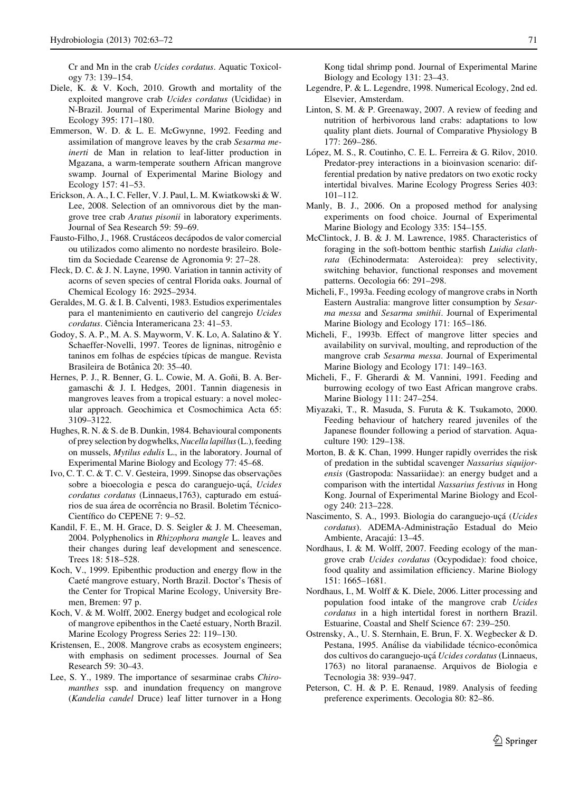<span id="page-8-0"></span>Cr and Mn in the crab Ucides cordatus. Aquatic Toxicology 73: 139–154.

- Diele, K. & V. Koch, 2010. Growth and mortality of the exploited mangrove crab Ucides cordatus (Ucididae) in N-Brazil. Journal of Experimental Marine Biology and Ecology 395: 171–180.
- Emmerson, W. D. & L. E. McGwynne, 1992. Feeding and assimilation of mangrove leaves by the crab Sesarma meinerti de Man in relation to leaf-litter production in Mgazana, a warm-temperate southern African mangrove swamp. Journal of Experimental Marine Biology and Ecology 157: 41–53.
- Erickson, A. A., I. C. Feller, V. J. Paul, L. M. Kwiatkowski & W. Lee, 2008. Selection of an omnivorous diet by the mangrove tree crab Aratus pisonii in laboratory experiments. Journal of Sea Research 59: 59–69.
- Fausto-Filho, J., 1968. Crustáceos decápodos de valor comercial ou utilizados como alimento no nordeste brasileiro. Boletim da Sociedade Cearense de Agronomia 9: 27–28.
- Fleck, D. C. & J. N. Layne, 1990. Variation in tannin activity of acorns of seven species of central Florida oaks. Journal of Chemical Ecology 16: 2925–2934.
- Geraldes, M. G. & I. B. Calventi, 1983. Estudios experimentales para el mantenimiento en cautiverio del cangrejo Ucides cordatus. Ciência Interamericana 23: 41–53.
- Godoy, S. A. P., M. A. S. Mayworm, V. K. Lo, A. Salatino & Y. Schaeffer-Novelli, 1997. Teores de ligninas, nitrogênio e taninos em folhas de espécies típicas de mangue. Revista Brasileira de Botânica 20: 35-40.
- Hernes, P. J., R. Benner, G. L. Cowie, M. A. Goñi, B. A. Bergamaschi & J. I. Hedges, 2001. Tannin diagenesis in mangroves leaves from a tropical estuary: a novel molecular approach. Geochimica et Cosmochimica Acta 65: 3109–3122.
- Hughes, R. N. & S. de B. Dunkin, 1984. Behavioural components of prey selection by dogwhelks, Nucella lapillus (L.), feeding on mussels, Mytilus edulis L., in the laboratory. Journal of Experimental Marine Biology and Ecology 77: 45–68.
- Ivo, C. T. C. & T. C. V. Gesteira, 1999. Sinopse das observações sobre a bioecologia e pesca do caranguejo-uçá, Ucides cordatus cordatus (Linnaeus, 1763), capturado em estuários de sua área de ocorrência no Brasil. Boletim Técnico-Científico do CEPENE 7: 9-52.
- Kandil, F. E., M. H. Grace, D. S. Seigler & J. M. Cheeseman, 2004. Polyphenolics in Rhizophora mangle L. leaves and their changes during leaf development and senescence. Trees 18: 518–528.
- Koch, V., 1999. Epibenthic production and energy flow in the Caeté mangrove estuary, North Brazil. Doctor's Thesis of the Center for Tropical Marine Ecology, University Bremen, Bremen: 97 p.
- Koch, V. & M. Wolff, 2002. Energy budget and ecological role of mangrove epibenthos in the Caeté estuary, North Brazil. Marine Ecology Progress Series 22: 119–130.
- Kristensen, E., 2008. Mangrove crabs as ecosystem engineers; with emphasis on sediment processes. Journal of Sea Research 59: 30–43.
- Lee, S. Y., 1989. The importance of sesarminae crabs Chiromanthes ssp. and inundation frequency on mangrove (Kandelia candel Druce) leaf litter turnover in a Hong

Kong tidal shrimp pond. Journal of Experimental Marine Biology and Ecology 131: 23–43.

- Legendre, P. & L. Legendre, 1998. Numerical Ecology, 2nd ed. Elsevier, Amsterdam.
- Linton, S. M. & P. Greenaway, 2007. A review of feeding and nutrition of herbivorous land crabs: adaptations to low quality plant diets. Journal of Comparative Physiology B 177: 269–286.
- López, M. S., R. Coutinho, C. E. L. Ferreira & G. Rilov, 2010. Predator-prey interactions in a bioinvasion scenario: differential predation by native predators on two exotic rocky intertidal bivalves. Marine Ecology Progress Series 403: 101–112.
- Manly, B. J., 2006. On a proposed method for analysing experiments on food choice. Journal of Experimental Marine Biology and Ecology 335: 154–155.
- McClintock, J. B. & J. M. Lawrence, 1985. Characteristics of foraging in the soft-bottom benthic starfish Luidia clathrata (Echinodermata: Asteroidea): prey selectivity, switching behavior, functional responses and movement patterns. Oecologia 66: 291–298.
- Micheli, F., 1993a. Feeding ecology of mangrove crabs in North Eastern Australia: mangrove litter consumption by Sesarma messa and Sesarma smithii. Journal of Experimental Marine Biology and Ecology 171: 165–186.
- Micheli, F., 1993b. Effect of mangrove litter species and availability on survival, moulting, and reproduction of the mangrove crab Sesarma messa. Journal of Experimental Marine Biology and Ecology 171: 149–163.
- Micheli, F., F. Gherardi & M. Vannini, 1991. Feeding and burrowing ecology of two East African mangrove crabs. Marine Biology 111: 247–254.
- Miyazaki, T., R. Masuda, S. Furuta & K. Tsukamoto, 2000. Feeding behaviour of hatchery reared juveniles of the Japanese flounder following a period of starvation. Aquaculture 190: 129–138.
- Morton, B. & K. Chan, 1999. Hunger rapidly overrides the risk of predation in the subtidal scavenger Nassarius siquijorensis (Gastropoda: Nassariidae): an energy budget and a comparison with the intertidal Nassarius festivus in Hong Kong. Journal of Experimental Marine Biology and Ecology 240: 213–228.
- Nascimento, S. A., 1993. Biologia do caranguejo-uçá (Ucides cordatus). ADEMA-Administração Estadual do Meio Ambiente, Aracajú: 13-45.
- Nordhaus, I. & M. Wolff, 2007. Feeding ecology of the mangrove crab Ucides cordatus (Ocypodidae): food choice, food quality and assimilation efficiency. Marine Biology 151: 1665–1681.
- Nordhaus, I., M. Wolff & K. Diele, 2006. Litter processing and population food intake of the mangrove crab Ucides cordatus in a high intertidal forest in northern Brazil. Estuarine, Coastal and Shelf Science 67: 239–250.
- Ostrensky, A., U. S. Sternhain, E. Brun, F. X. Wegbecker & D. Pestana, 1995. Análise da viabilidade técnico-econômica dos cultivos do caranguejo-uçá Ucides cordatus (Linnaeus, 1763) no litoral paranaense. Arquivos de Biologia e Tecnologia 38: 939–947.
- Peterson, C. H. & P. E. Renaud, 1989. Analysis of feeding preference experiments. Oecologia 80: 82–86.